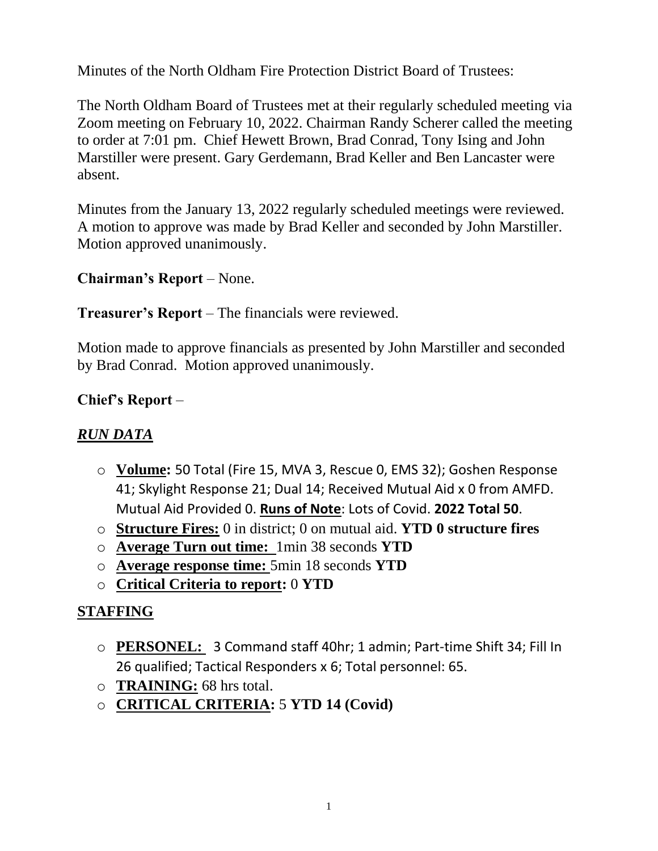Minutes of the North Oldham Fire Protection District Board of Trustees:

The North Oldham Board of Trustees met at their regularly scheduled meeting via Zoom meeting on February 10, 2022. Chairman Randy Scherer called the meeting to order at 7:01 pm. Chief Hewett Brown, Brad Conrad, Tony Ising and John Marstiller were present. Gary Gerdemann, Brad Keller and Ben Lancaster were absent.

Minutes from the January 13, 2022 regularly scheduled meetings were reviewed. A motion to approve was made by Brad Keller and seconded by John Marstiller. Motion approved unanimously.

# **Chairman's Report** – None.

### **Treasurer's Report** – The financials were reviewed.

Motion made to approve financials as presented by John Marstiller and seconded by Brad Conrad. Motion approved unanimously.

### **Chief's Report** –

## *RUN DATA*

- o **Volume:** 50 Total (Fire 15, MVA 3, Rescue 0, EMS 32); Goshen Response 41; Skylight Response 21; Dual 14; Received Mutual Aid x 0 from AMFD. Mutual Aid Provided 0. **Runs of Note**: Lots of Covid. **2022 Total 50**.
- o **Structure Fires:** 0 in district; 0 on mutual aid. **YTD 0 structure fires**
- o **Average Turn out time:** 1min 38 seconds **YTD**
- o **Average response time:** 5min 18 seconds **YTD**
- o **Critical Criteria to report:** 0 **YTD**

### **STAFFING**

- o **PERSONEL:** 3 Command staff 40hr; 1 admin; Part-time Shift 34; Fill In 26 qualified; Tactical Responders x 6; Total personnel: 65.
- o **TRAINING:** 68 hrs total.
- o **CRITICAL CRITERIA:** 5 **YTD 14 (Covid)**